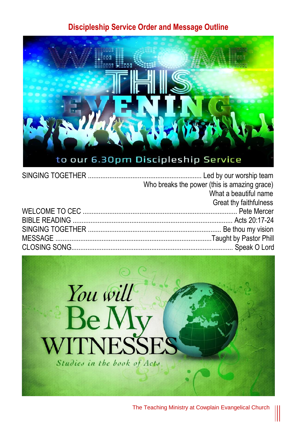#### **Discipleship Service Order and Message Outline**



| Who breaks the power (this is amazing grace) |
|----------------------------------------------|
| What a beautiful name                        |
| Great thy faithfulness                       |
|                                              |
|                                              |
|                                              |
|                                              |
|                                              |
|                                              |



The Teaching Ministry at Cowplain Evangelical Church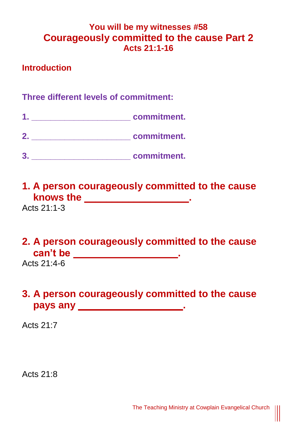### **You will be my witnesses #58 Courageously committed to the cause Part 2 Acts 21:1-16**

#### **Introduction**

### **Three different levels of commitment:**

- **1. \_\_\_\_\_\_\_\_\_\_\_\_\_\_\_\_\_\_\_\_\_ commitment.**
- **2. \_\_\_\_\_\_\_\_\_\_\_\_\_\_\_\_\_\_\_\_\_ commitment.**
- **3. \_\_\_\_\_\_\_\_\_\_\_\_\_\_\_\_\_\_\_\_\_ commitment.**
- **1. A person courageously committed to the cause knows the \_\_\_\_\_\_\_\_\_\_\_\_\_\_\_\_\_\_\_\_.**

Acts  $21:1-3$ 

# **2. A person courageously committed to the cause can't be \_\_\_\_\_\_\_\_\_\_\_\_\_\_\_\_\_\_\_**.

Acts 21:4-6

## **3. A person courageously committed to the cause** pays any **any structure of the structure of the structure of the structure of the structure of the structure of the structure of the structure of the structure of the structure of the structure of the structure of the stru**

Acts 21:7

Acts 21:8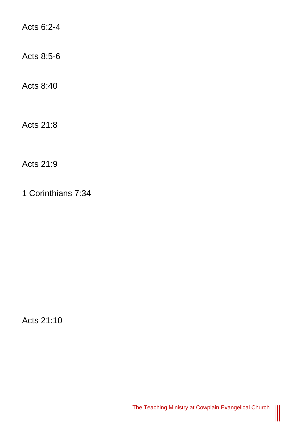Acts 6:2-4

Acts 8:5-6

Acts 8:40

Acts 21:8

Acts 21:9

1 Corinthians 7:34

Acts 21:10